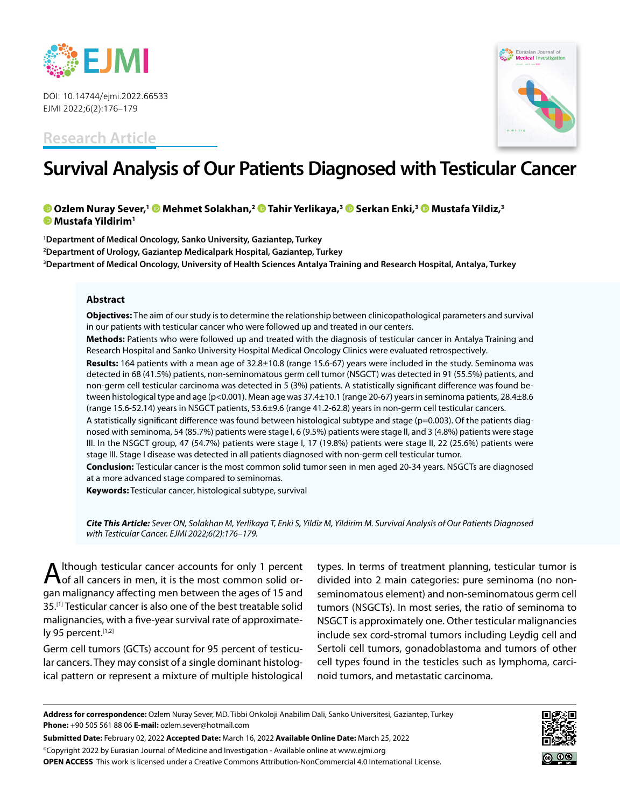

DOI: 10.14744/ejmi.2022.66533 EJMI 2022;6(2):176–179

**Research Article**



# **Survival Analysis of Our Patients Diagnosed with Testicular Cancer**

## **Ozlem Nuray Sever,[1 M](https://orcid.org/0000-0001-9123-9196
)ehmet Solakhan,2 [T](https://orcid.org/0000-0003-2212-1412
)ahir Yerlikaya,[3](https://orcid.org/0000-0001-5636-0708
) Serkan Enki,[3](https://orcid.org/0000-0001-7832-5989
) Mustafa Yildiz,3 Mustafa Yildirim1**

**1 Department of Medical Oncology, Sanko University, Gaziantep, Turkey 2 Department of Urology, Gaziantep Medicalpark Hospital, Gaziantep, Turkey 3 Department of Medical Oncology, University of Health Sciences Antalya Training and Research Hospital, Antalya, Turkey**

#### **Abstract**

**Objectives:** The aim of our study is to determine the relationship between clinicopathological parameters and survival in our patients with testicular cancer who were followed up and treated in our centers.

**Methods:** Patients who were followed up and treated with the diagnosis of testicular cancer in Antalya Training and Research Hospital and Sanko University Hospital Medical Oncology Clinics were evaluated retrospectively.

**Results:** 164 patients with a mean age of 32.8±10.8 (range 15.6-67) years were included in the study. Seminoma was detected in 68 (41.5%) patients, non-seminomatous germ cell tumor (NSGCT) was detected in 91 (55.5%) patients, and non-germ cell testicular carcinoma was detected in 5 (3%) patients. A statistically significant difference was found between histological type and age (p<0.001). Mean age was 37.4±10.1 (range 20-67) years in seminoma patients, 28.4±8.6 (range 15.6-52.14) years in NSGCT patients, 53.6±9.6 (range 41.2-62.8) years in non-germ cell testicular cancers.

A statistically significant difference was found between histological subtype and stage (p=0.003). Of the patients diagnosed with seminoma, 54 (85.7%) patients were stage I, 6 (9.5%) patients were stage II, and 3 (4.8%) patients were stage III. In the NSGCT group, 47 (54.7%) patients were stage I, 17 (19.8%) patients were stage II, 22 (25.6%) patients were stage III. Stage I disease was detected in all patients diagnosed with non-germ cell testicular tumor.

**Conclusion:** Testicular cancer is the most common solid tumor seen in men aged 20-34 years. NSGCTs are diagnosed at a more advanced stage compared to seminomas.

**Keywords:** Testicular cancer, histological subtype, survival

*Cite This Article: Sever ON, Solakhan M, Yerlikaya T, Enki S, Yildiz M, Yildirim M. Survival Analysis of Our Patients Diagnosed with Testicular Cancer. EJMI 2022;6(2):176–179.*

Ithough testicular cancer accounts for only 1 percent  $\bigwedge$  of all cancers in men, it is the most common solid organ malignancy affecting men between the ages of 15 and 35.<sup>[1]</sup> Testicular cancer is also one of the best treatable solid malignancies, with a five-year survival rate of approximately 95 percent.[1,2]

Germ cell tumors (GCTs) account for 95 percent of testicular cancers. They may consist of a single dominant histological pattern or represent a mixture of multiple histological types. In terms of treatment planning, testicular tumor is divided into 2 main categories: pure seminoma (no nonseminomatous element) and non-seminomatous germ cell tumors (NSGCTs). In most series, the ratio of seminoma to NSGCT is approximately one. Other testicular malignancies include sex cord-stromal tumors including Leydig cell and Sertoli cell tumors, gonadoblastoma and tumors of other cell types found in the testicles such as lymphoma, carcinoid tumors, and metastatic carcinoma.

**Submitted Date:** February 02, 2022 **Accepted Date:** March 16, 2022 **Available Online Date:** March 25, 2022

©Copyright 2022 by Eurasian Journal of Medicine and Investigation - Available online at www.ejmi.org **OPEN ACCESS** This work is licensed under a Creative Commons Attribution-NonCommercial 4.0 International License.



**Address for correspondence:** Ozlem Nuray Sever, MD. Tibbi Onkoloji Anabilim Dali, Sanko Universitesi, Gaziantep, Turkey **Phone:** +90 505 561 88 06 **E-mail:** ozlem.sever@hotmail.com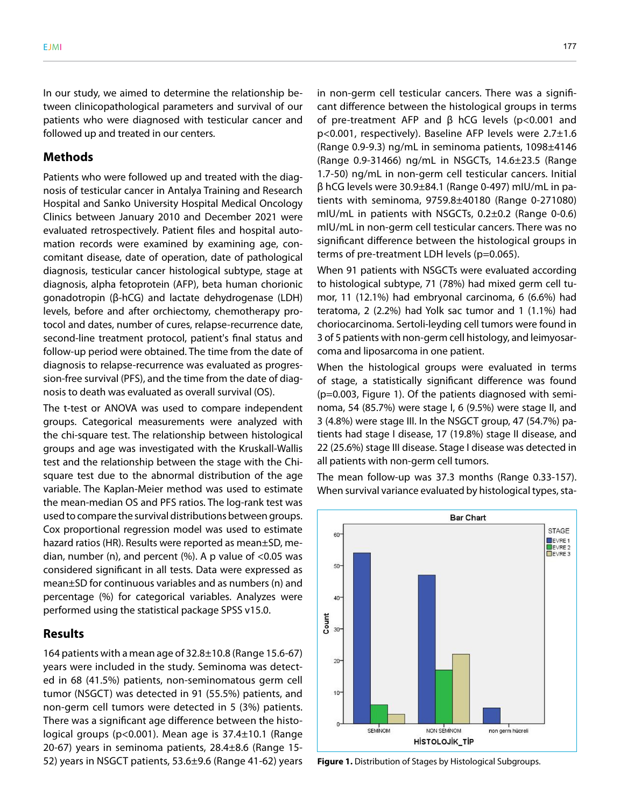In our study, we aimed to determine the relationship between clinicopathological parameters and survival of our patients who were diagnosed with testicular cancer and followed up and treated in our centers.

## **Methods**

Patients who were followed up and treated with the diagnosis of testicular cancer in Antalya Training and Research Hospital and Sanko University Hospital Medical Oncology Clinics between January 2010 and December 2021 were evaluated retrospectively. Patient files and hospital automation records were examined by examining age, concomitant disease, date of operation, date of pathological diagnosis, testicular cancer histological subtype, stage at diagnosis, alpha fetoprotein (AFP), beta human chorionic gonadotropin (β-hCG) and lactate dehydrogenase (LDH) levels, before and after orchiectomy, chemotherapy protocol and dates, number of cures, relapse-recurrence date, second-line treatment protocol, patient's final status and follow-up period were obtained. The time from the date of diagnosis to relapse-recurrence was evaluated as progression-free survival (PFS), and the time from the date of diagnosis to death was evaluated as overall survival (OS).

The t-test or ANOVA was used to compare independent groups. Categorical measurements were analyzed with the chi-square test. The relationship between histological groups and age was investigated with the Kruskall-Wallis test and the relationship between the stage with the Chisquare test due to the abnormal distribution of the age variable. The Kaplan-Meier method was used to estimate the mean-median OS and PFS ratios. The log-rank test was used to compare the survival distributions between groups. Cox proportional regression model was used to estimate hazard ratios (HR). Results were reported as mean±SD, median, number (n), and percent  $%$  A p value of  $<$ 0.05 was considered significant in all tests. Data were expressed as mean±SD for continuous variables and as numbers (n) and percentage (%) for categorical variables. Analyzes were performed using the statistical package SPSS v15.0.

### **Results**

164 patients with a mean age of 32.8±10.8 (Range 15.6-67) years were included in the study. Seminoma was detected in 68 (41.5%) patients, non-seminomatous germ cell tumor (NSGCT) was detected in 91 (55.5%) patients, and non-germ cell tumors were detected in 5 (3%) patients. There was a significant age difference between the histological groups (p<0.001). Mean age is 37.4±10.1 (Range 20-67) years in seminoma patients, 28.4±8.6 (Range 15- 52) years in NSGCT patients, 53.6±9.6 (Range 41-62) years in non-germ cell testicular cancers. There was a significant difference between the histological groups in terms of pre-treatment AFP and β hCG levels (p<0.001 and p<0.001, respectively). Baseline AFP levels were 2.7±1.6 (Range 0.9-9.3) ng/mL in seminoma patients, 1098±4146 (Range 0.9-31466) ng/mL in NSGCTs, 14.6±23.5 (Range 1.7-50) ng/mL in non-germ cell testicular cancers. Initial β hCG levels were 30.9±84.1 (Range 0-497) mIU/mL in patients with seminoma, 9759.8±40180 (Range 0-271080) mIU/mL in patients with NSGCTs, 0.2±0.2 (Range 0-0.6) mIU/mL in non-germ cell testicular cancers. There was no significant difference between the histological groups in terms of pre-treatment LDH levels (p=0.065).

When 91 patients with NSGCTs were evaluated according to histological subtype, 71 (78%) had mixed germ cell tumor, 11 (12.1%) had embryonal carcinoma, 6 (6.6%) had teratoma, 2 (2.2%) had Yolk sac tumor and 1 (1.1%) had choriocarcinoma. Sertoli-leyding cell tumors were found in 3 of 5 patients with non-germ cell histology, and leimyosarcoma and liposarcoma in one patient.

When the histological groups were evaluated in terms of stage, a statistically significant difference was found (p=0.003, Figure 1). Of the patients diagnosed with seminoma, 54 (85.7%) were stage I, 6 (9.5%) were stage II, and 3 (4.8%) were stage III. In the NSGCT group, 47 (54.7%) patients had stage I disease, 17 (19.8%) stage II disease, and 22 (25.6%) stage III disease. Stage I disease was detected in all patients with non-germ cell tumors.

The mean follow-up was 37.3 months (Range 0.33-157). When survival variance evaluated by histological types, sta-



**Figure 1.** Distribution of Stages by Histological Subgroups.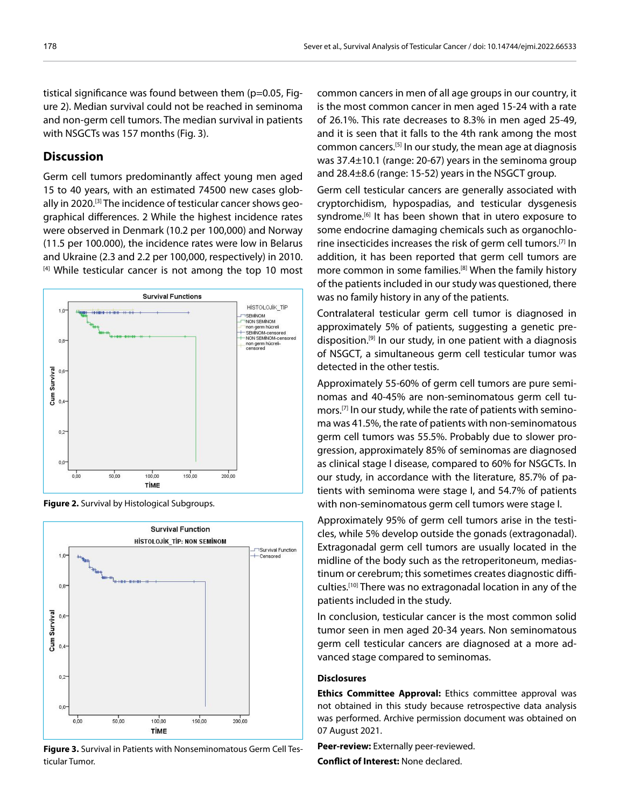tistical significance was found between them (p=0.05, Figure 2). Median survival could not be reached in seminoma and non-germ cell tumors. The median survival in patients with NSGCTs was 157 months (Fig. 3).

## **Discussion**

Germ cell tumors predominantly affect young men aged 15 to 40 years, with an estimated 74500 new cases globally in 2020.[3] The incidence of testicular cancer shows geographical differences. 2 While the highest incidence rates were observed in Denmark (10.2 per 100,000) and Norway (11.5 per 100.000), the incidence rates were low in Belarus and Ukraine (2.3 and 2.2 per 100,000, respectively) in 2010. [4] While testicular cancer is not among the top 10 most



**Figure 2.** Survival by Histological Subgroups.



**Figure 3.** Survival in Patients with Nonseminomatous Germ Cell Testicular Tumor.

common cancers in men of all age groups in our country, it is the most common cancer in men aged 15-24 with a rate of 26.1%. This rate decreases to 8.3% in men aged 25-49, and it is seen that it falls to the 4th rank among the most common cancers.[5] In our study, the mean age at diagnosis was 37.4±10.1 (range: 20-67) years in the seminoma group and 28.4±8.6 (range: 15-52) years in the NSGCT group.

Germ cell testicular cancers are generally associated with cryptorchidism, hypospadias, and testicular dysgenesis syndrome.<sup>[6]</sup> It has been shown that in utero exposure to some endocrine damaging chemicals such as organochlorine insecticides increases the risk of germ cell tumors.[7] In addition, it has been reported that germ cell tumors are more common in some families.[8] When the family history of the patients included in our study was questioned, there was no family history in any of the patients.

Contralateral testicular germ cell tumor is diagnosed in approximately 5% of patients, suggesting a genetic predisposition.[9] In our study, in one patient with a diagnosis of NSGCT, a simultaneous germ cell testicular tumor was detected in the other testis.

Approximately 55-60% of germ cell tumors are pure seminomas and 40-45% are non-seminomatous germ cell tumors.[7] In our study, while the rate of patients with seminoma was 41.5%, the rate of patients with non-seminomatous germ cell tumors was 55.5%. Probably due to slower progression, approximately 85% of seminomas are diagnosed as clinical stage I disease, compared to 60% for NSGCTs. In our study, in accordance with the literature, 85.7% of patients with seminoma were stage I, and 54.7% of patients with non-seminomatous germ cell tumors were stage I.

Approximately 95% of germ cell tumors arise in the testicles, while 5% develop outside the gonads (extragonadal). Extragonadal germ cell tumors are usually located in the midline of the body such as the retroperitoneum, mediastinum or cerebrum; this sometimes creates diagnostic difficulties.[10] There was no extragonadal location in any of the patients included in the study.

In conclusion, testicular cancer is the most common solid tumor seen in men aged 20-34 years. Non seminomatous germ cell testicular cancers are diagnosed at a more advanced stage compared to seminomas.

#### **Disclosures**

**Ethics Committee Approval:** Ethics committee approval was not obtained in this study because retrospective data analysis was performed. Archive permission document was obtained on 07 August 2021.

**Peer-review:** Externally peer-reviewed.

**Conflict of Interest:** None declared.